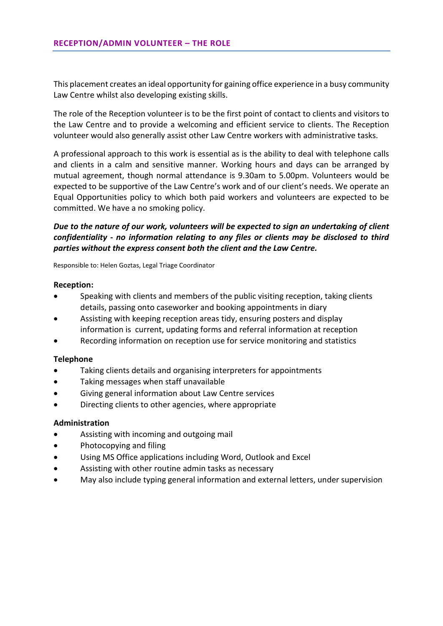This placement creates an ideal opportunity for gaining office experience in a busy community Law Centre whilst also developing existing skills.

The role of the Reception volunteer is to be the first point of contact to clients and visitors to the Law Centre and to provide a welcoming and efficient service to clients. The Reception volunteer would also generally assist other Law Centre workers with administrative tasks.

A professional approach to this work is essential as is the ability to deal with telephone calls and clients in a calm and sensitive manner. Working hours and days can be arranged by mutual agreement, though normal attendance is 9.30am to 5.00pm. Volunteers would be expected to be supportive of the Law Centre's work and of our client's needs. We operate an Equal Opportunities policy to which both paid workers and volunteers are expected to be committed. We have a no smoking policy.

## *Due to the nature of our work, volunteers will be expected to sign an undertaking of client confidentiality ‐ no information relating to any files or clients may be disclosed to third parties without the express consent both the client and the Law Centre.*

Responsible to: Helen Goztas, Legal Triage Coordinator

## **Reception:**

- Speaking with clients and members of the public visiting reception, taking clients details, passing onto caseworker and booking appointments in diary
- Assisting with keeping reception areas tidy, ensuring posters and display information is current, updating forms and referral information at reception
- Recording information on reception use for service monitoring and statistics

## **Telephone**

- Taking clients details and organising interpreters for appointments
- Taking messages when staff unavailable
- Giving general information about Law Centre services
- Directing clients to other agencies, where appropriate

## **Administration**

- Assisting with incoming and outgoing mail
- Photocopying and filing
- Using MS Office applications including Word, Outlook and Excel
- Assisting with other routine admin tasks as necessary
- May also include typing general information and external letters, under supervision